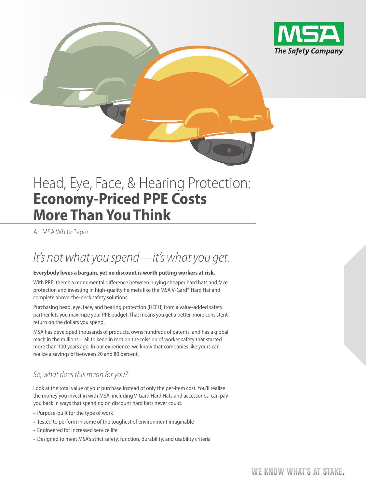

# Head, Eye, Face, & Hearing Protection: **Economy-Priced PPE Costs More Than You Think**

An MSA White Paper

## It's not what you spend—it's what you get.

#### **Everybody loves a bargain, yet no discount is worth putting workers at risk.**

With PPE, there's a monumental difference between buying cheaper hard hats and face protection and investing in high-quality helmets like the MSA V-Gard® Hard Hat and complete above-the-neck safety solutions.

Purchasing head, eye, face, and hearing protection (HEFH) from a value-added safety partner lets you maximize your PPE budget. That means you get a better, more consistent return on the dollars you spend.

MSA has developed thousands of products, owns hundreds of patents, and has a global reach in the millions—all to keep in motion the mission of worker safety that started more than 100 years ago. In our experience, we know that companies like yours can realize a savings of between 20 and 80 percent.

#### So, what does this mean for you?

Look at the total value of your purchase instead of only the per-item cost. You'll realize the money you invest in with MSA, including V-Gard Hard Hats and accessories, can pay you back in ways that spending on discount hard hats never could.

- Purpose-built for the type of work
- Tested to perform in some of the toughest of environment imaginable
- Engineered for increased service life
- Designed to meet MSA's strict safety, function, durability, and usability criteria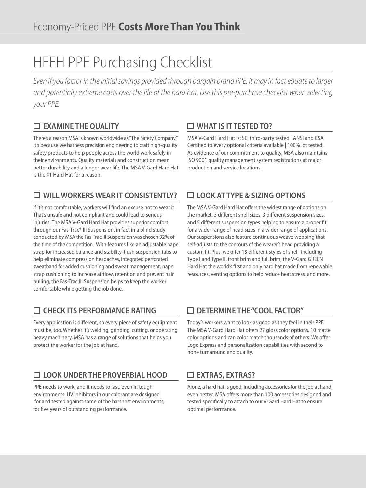# HEFH PPE Purchasing Checklist

Even if you factor in the initial savings provided through bargain brand PPE, it may in fact equate to larger and potentially extreme costs over the life of the hard hat. Use this pre-purchase checklist when selecting your PPE.

#### **EXAMINE THE QUALITY**

There's a reason MSA is known worldwide as "The Safety Company." It's because we harness precision engineering to craft high-quality safety products to help people across the world work safely in their environments. Quality materials and construction mean better durability and a longer wear life. The MSA V-Gard Hard Hat is the #1 Hard Hat for a reason.

### **WILL WORKERS WEAR IT CONSISTENTLY?**

If it's not comfortable, workers will find an excuse not to wear it. That's unsafe and not compliant and could lead to serious injuries. The MSA V-Gard Hard Hat provides superior comfort through our Fas-Trac® III Suspension, in fact in a blind study conducted by MSA the Fas-Trac III Suspension was chosen 92% of the time of the competition. With features like an adjustable nape strap for increased balance and stability, flush suspension tabs to help eliminate compression headaches, integrated perforated sweatband for added cushioning and sweat management, nape strap cushioning to increase airflow, retention and prevent hair pulling, the Fas-Trac III Suspension helps to keep the worker comfortable while getting the job done.

### **CHECK ITS PERFORMANCE RATING**

Every application is different, so every piece of safety equipment must be, too. Whether it's welding, grinding, cutting, or operating heavy machinery, MSA has a range of solutions that helps you protect the worker for the job at hand.

#### **LOOK UNDER THE PROVERBIAL HOOD**

PPE needs to work, and it needs to last, even in tough environments. UV inhibitors in our colorant are designed for and tested against some of the harshest environments, for five years of outstanding performance.

#### **WHAT IS IT TESTED TO?**

MSA V-Gard Hard Hat is: SEI third-party tested | ANSI and CSA Certified to every optional criteria available | 100% lot tested. As evidence of our commitment to quality, MSA also maintains ISO 9001 quality management system registrations at major production and service locations.

### **LOOK AT TYPE & SIZING OPTIONS**

The MSA V-Gard Hard Hat offers the widest range of options on the market, 3 different shell sizes, 3 different suspension sizes, and 5 different suspension types helping to ensure a proper fit for a wider range of head sizes in a wider range of applications. Our suspensions also feature continuous weave webbing that self-adjusts to the contours of the wearer's head providing a custom fit. Plus, we offer 13 different styles of shell including Type I and Type II, front brim and full brim, the V-Gard GREEN Hard Hat the world's first and only hard hat made from renewable resources, venting options to help reduce heat stress, and more.

#### **DETERMINE THE "COOL FACTOR"**

Today's workers want to look as good as they feel in their PPE. The MSA V-Gard Hard Hat offers 27 gloss color options, 10 matte color options and can color match thousands of others. We offer Logo Express and personalization capabilities with second to none turnaround and quality.

### **EXTRAS, EXTRAS?**

Alone, a hard hat is good, including accessories for the job at hand, even better. MSA offers more than 100 accessories designed and tested specifically to attach to our V-Gard Hard Hat to ensure optimal performance.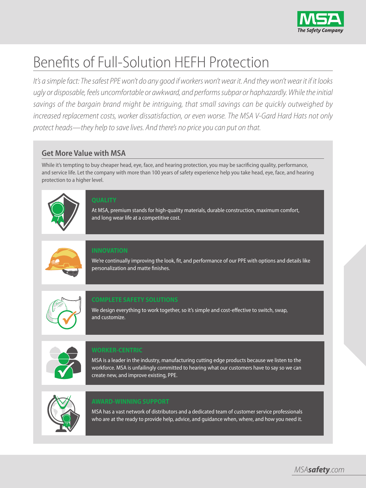

# Benefits of Full-Solution HEFH Protection

It's a simple fact: The safest PPE won't do any good if workers won't wear it. And they won't wear it if it looks ugly or disposable, feels uncomfortable or awkward, and performs subpar or haphazardly. While the initial savings of the bargain brand might be intriguing, that small savings can be quickly outweighed by increased replacement costs, worker dissatisfaction, or even worse. The MSA V-Gard Hard Hats not only protect heads—they help to save lives. And there's no price you can put on that.

#### **Get More Value with MSA**

While it's tempting to buy cheaper head, eye, face, and hearing protection, you may be sacrificing quality, performance, and service life. Let the company with more than 100 years of safety experience help you take head, eye, face, and hearing protection to a higher level.



At MSA, premium stands for high-quality materials, durable construction, maximum comfort, and long wear life at a competitive cost.



We're continually improving the look, fit, and performance of our PPE with options and details like personalization and matte finishes.



We design everything to work together, so it's simple and cost-effective to switch, swap, and customize.



MSA is a leader in the industry, manufacturing cutting edge products because we listen to the workforce. MSA is unfailingly committed to hearing what our customers have to say so we can create new, and improve existing, PPE.



MSA has a vast network of distributors and a dedicated team of customer service professionals who are at the ready to provide help, advice, and guidance when, where, and how you need it.